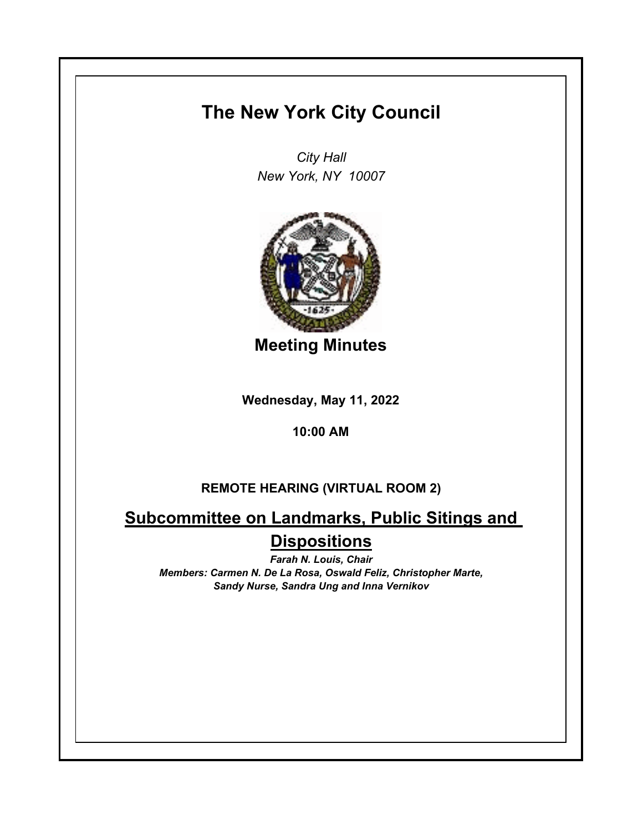## **The New York City Council**

*City Hall New York, NY 10007*



**Meeting Minutes**

**Wednesday, May 11, 2022**

**10:00 AM**

## **REMOTE HEARING (VIRTUAL ROOM 2)**

**Subcommittee on Landmarks, Public Sitings and Dispositions**

*Farah N. Louis, Chair Members: Carmen N. De La Rosa, Oswald Feliz, Christopher Marte, Sandy Nurse, Sandra Ung and Inna Vernikov*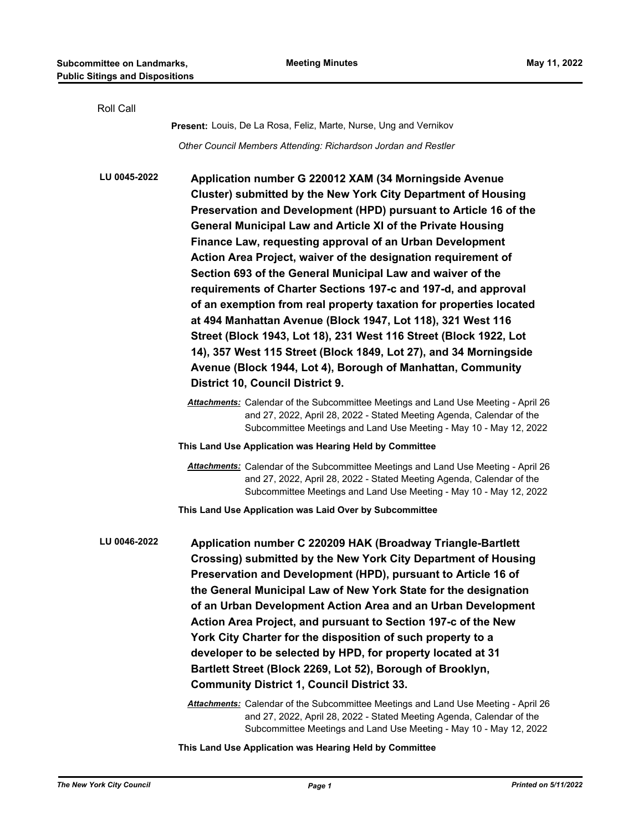**This Land Use Application was Hearing Held by Committee**